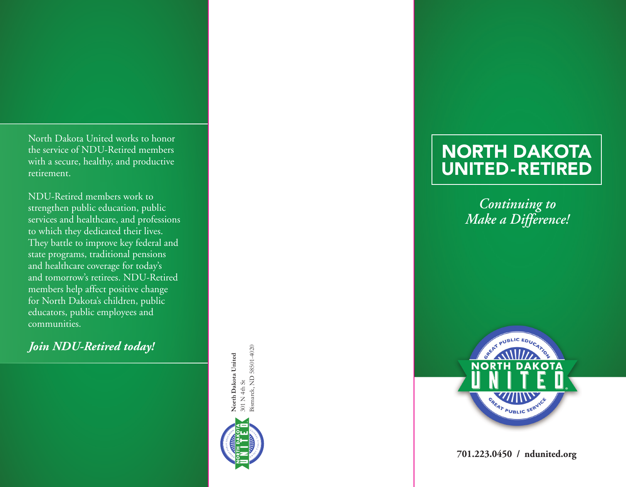North Dakota United works to honor the service of NDU-Retired members with a secure, healthy, and productive retirement.

NDU-Retired members work to strengthen public education, public services and healthcare, and professions to which they dedicated their lives. They battle to improve key federal and state programs, traditional pensions and healthcare coverage for today's and tomorrow's retirees. NDU-Retired members help affect positive change for North Dakota's children, public educators, public employees and communities.

*Join NDU-Retired today!*

3ismarck, ND 58501-4020 Bismarck, ND 58501-4020 North Dakota United **North Dakota United**  $301$  N 4th  $\rm{St}$ 301 N 4th St



## NORTH DAKOTA UNITED-RETIRED

*Continuing to Make a Difference!*



**701.223.0450 / ndunited.org**